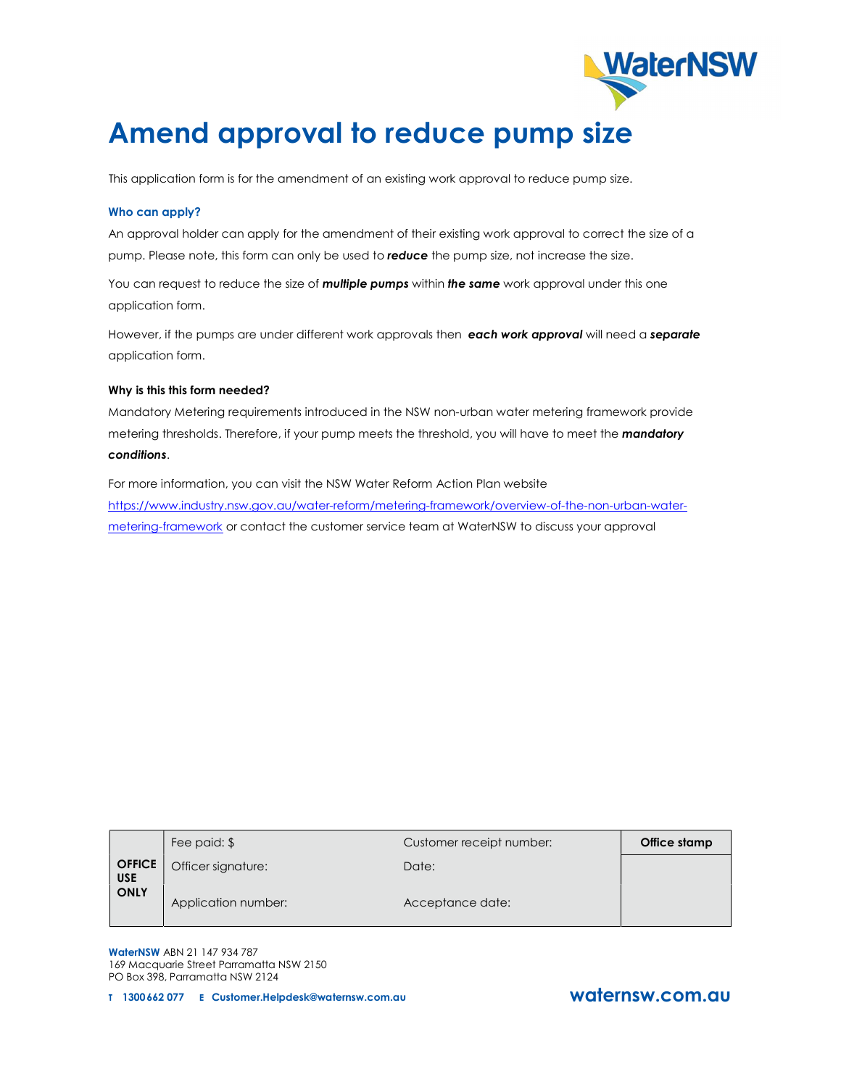

This application form is for the amendment of an existing work approval to reduce pump size.

#### Who can apply?

An approval holder can apply for the amendment of their existing work approval to correct the size of a pump. Please note, this form can only be used to reduce the pump size, not increase the size.

You can request to reduce the size of **multiple pumps** within the same work approval under this one application form.

However, if the pumps are under different work approvals then each work approval will need a separate application form.

#### Why is this this form needed?

Mandatory Metering requirements introduced in the NSW non-urban water metering framework provide metering thresholds. Therefore, if your pump meets the threshold, you will have to meet the *mandatory* conditions.

For more information, you can visit the NSW Water Reform Action Plan website https://www.industry.nsw.gov.au/water-reform/metering-framework/overview-of-the-non-urban-watermetering-framework or contact the customer service team at WaterNSW to discuss your approval

|                                            | Fee paid: \$        | Customer receipt number: | Office stamp |
|--------------------------------------------|---------------------|--------------------------|--------------|
| <b>OFFICE</b><br><b>USE</b><br><b>ONLY</b> | Officer signature:  | Date:                    |              |
|                                            | Application number: | Acceptance date:         |              |

WaterNSW ABN 21 147 934 787 169 Macquarie Street Parramatta NSW 2150 PO Box 398, Parramatta NSW 2124

T 1300 662 077 E Customer.Helpdesk@waternsw.com.au waternsw.com.au

**WaterNSW**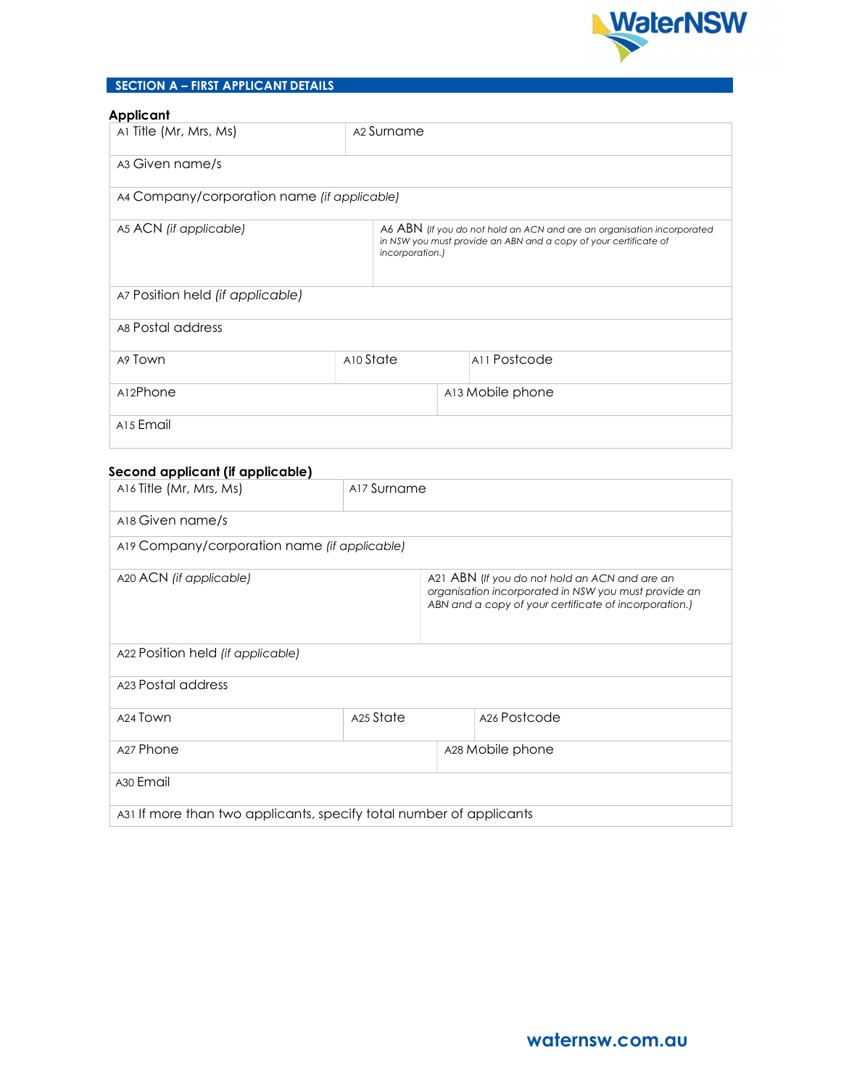

# SECTION A – FIRST APPLICANT DETAILS

# Applicant

| .pp                                         |                        |                                                                                                                                            |  |
|---------------------------------------------|------------------------|--------------------------------------------------------------------------------------------------------------------------------------------|--|
| Al Title (Mr, Mrs, Ms)                      | A <sub>2</sub> Surname |                                                                                                                                            |  |
| A3 Given name/s                             |                        |                                                                                                                                            |  |
| A4 Company/corporation name (if applicable) |                        |                                                                                                                                            |  |
| A5 ACN (if applicable)                      | incorporation.)        | A6 ABN (If you do not hold an ACN and are an organisation incorporated<br>in NSW you must provide an ABN and a copy of your certificate of |  |
| A7 Position held (if applicable)            |                        |                                                                                                                                            |  |
| A8 Postal address                           |                        |                                                                                                                                            |  |
| A9 Town                                     | A10 State              | A11 Postcode                                                                                                                               |  |
| A12Phone                                    |                        | A13 Mobile phone                                                                                                                           |  |
| A <sub>15</sub> Email                       |                        |                                                                                                                                            |  |

## Second applicant (if applicable)

| A16 Title (Mr, Mrs, Ms)                                             | A17 Surname |                                                                                                                                                                |
|---------------------------------------------------------------------|-------------|----------------------------------------------------------------------------------------------------------------------------------------------------------------|
| A18 Given name/s                                                    |             |                                                                                                                                                                |
| A19 Company/corporation name (if applicable)                        |             |                                                                                                                                                                |
| A20 ACN (if applicable)                                             |             | A21 ABN (If you do not hold an ACN and are an<br>organisation incorporated in NSW you must provide an<br>ABN and a copy of your certificate of incorporation.) |
| A22 Position held (if applicable)                                   |             |                                                                                                                                                                |
| A23 Postal address                                                  |             |                                                                                                                                                                |
| A <sub>24</sub> Town                                                | A25 State   | A <sub>26</sub> Postcode                                                                                                                                       |
| A <sub>27</sub> Phone                                               |             | A28 Mobile phone                                                                                                                                               |
| A <sub>30</sub> Email                                               |             |                                                                                                                                                                |
| A31 If more than two applicants, specify total number of applicants |             |                                                                                                                                                                |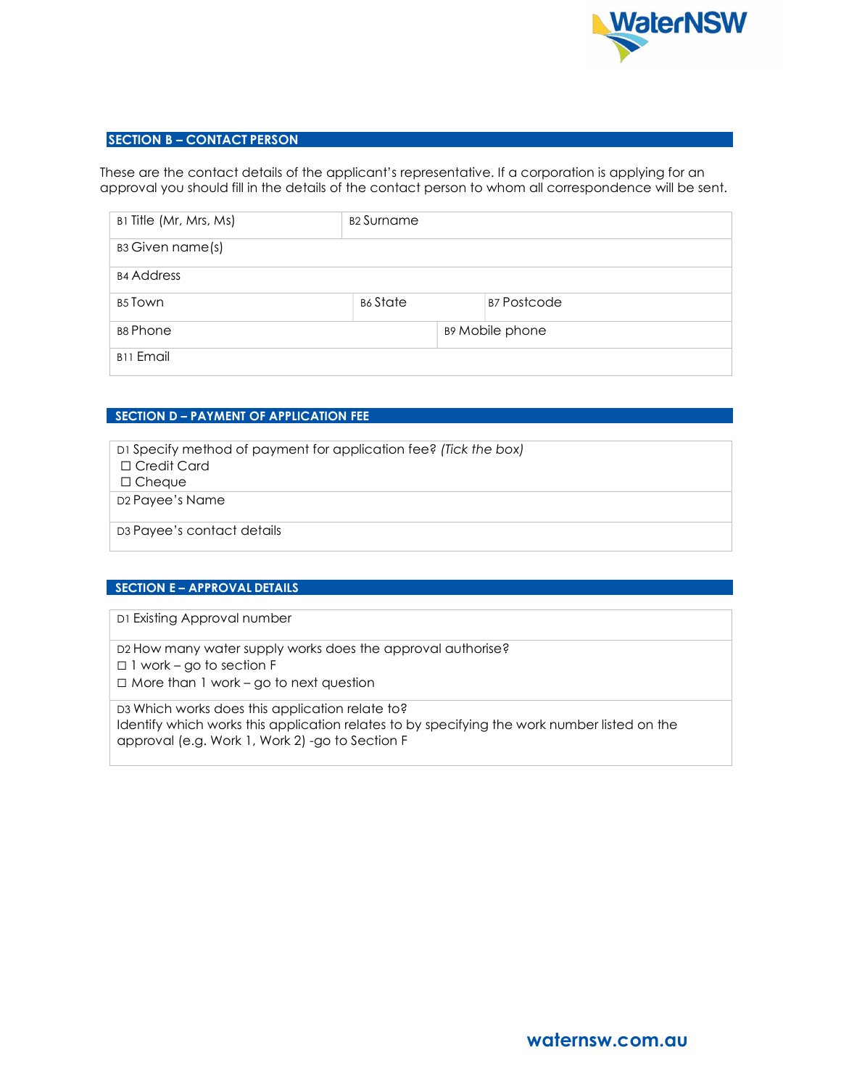

# SECTION B – CONTACT PERSON

These are the contact details of the applicant's representative. If a corporation is applying for an approval you should fill in the details of the contact person to whom all correspondence will be sent.

| B1 Title (Mr, Mrs, Ms) | B <sub>2</sub> Surname |                        |
|------------------------|------------------------|------------------------|
| B3 Given name(s)       |                        |                        |
| <b>B4 Address</b>      |                        |                        |
| B <sub>5</sub> Town    | <b>B6</b> State        | <b>B7 Postcode</b>     |
| B8 Phone               |                        | <b>B9 Mobile phone</b> |
| <b>B11 Email</b>       |                        |                        |

# SECTION **D** – PAYMENT OF APPLICATION FEE

| D <sub>1</sub> Specify method of payment for application fee? (Tick the box) |
|------------------------------------------------------------------------------|
| $\Box$ Credit Card                                                           |
| $\Box$ Cheque                                                                |
| D <sub>2</sub> Payee's Name                                                  |
|                                                                              |
| D <sub>3</sub> Payee's contact details                                       |
|                                                                              |

# SECTION E – APPROVAL DETAILS

D1 Existing Approval number

D2 How many water supply works does the approval authorise?

☐ 1 work – go to section F

☐ More than 1 work – go to next question

D3 Which works does this application relate to? Identify which works this application relates to by specifying the work number listed on the approval (e.g. Work 1, Work 2) -go to Section F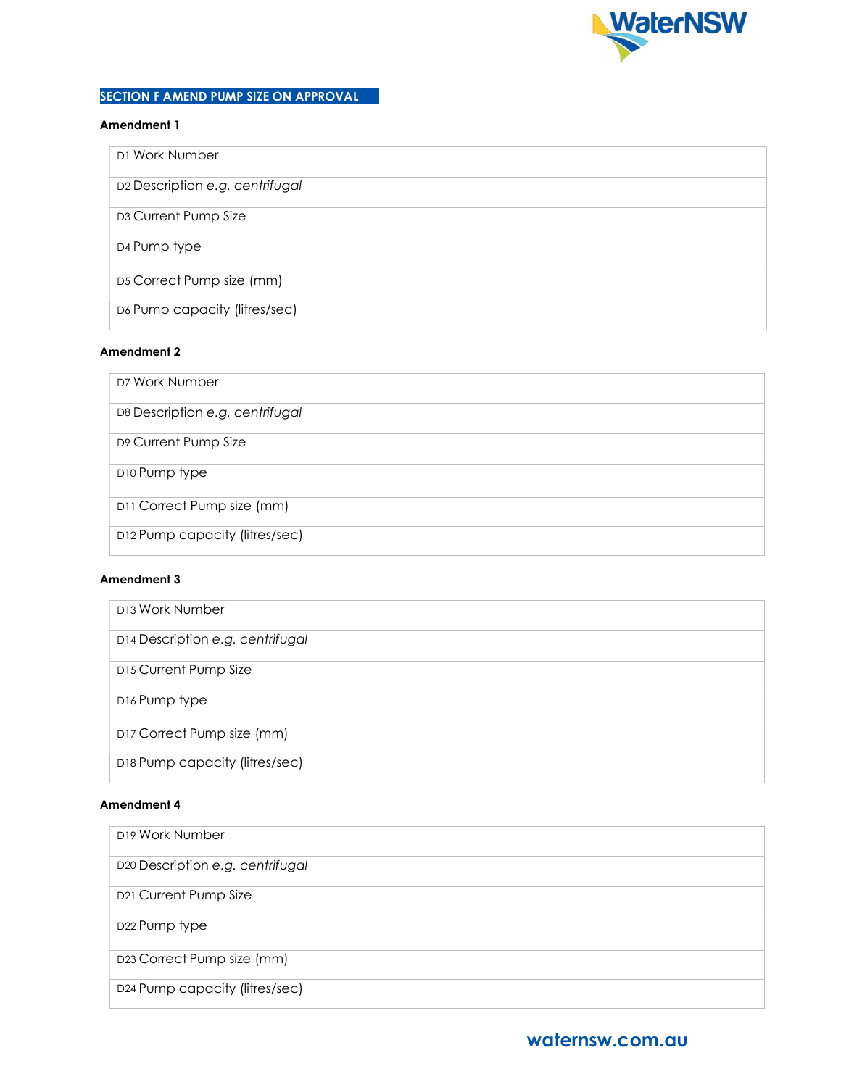

# SECTION F AMEND PUMP SIZE ON APPROVAL

### Amendment 1

| D1 Work Number                  |
|---------------------------------|
| D2 Description e.g. centrifugal |
| D3 Current Pump Size            |
| D4 Pump type                    |
| D5 Correct Pump size (mm)       |
| D6 Pump capacity (litres/sec)   |

# Amendment 2

| D7 Work Number                  |
|---------------------------------|
| D8 Description e.g. centrifugal |
| D9 Current Pump Size            |
| D10 Pump type                   |
| D11 Correct Pump size (mm)      |
| D12 Pump capacity (litres/sec)  |

## Amendment 3

| D <sub>13</sub> Work Number      |
|----------------------------------|
| D14 Description e.g. centrifugal |
| D15 Current Pump Size            |
| D16 Pump type                    |
| D17 Correct Pump size (mm)       |
| D18 Pump capacity (litres/sec)   |

# Amendment 4

| D <sub>19</sub> Work Number      |
|----------------------------------|
| D20 Description e.g. centrifugal |
| D21 Current Pump Size            |
| D <sub>22</sub> Pump type        |
| D23 Correct Pump size (mm)       |
| D24 Pump capacity (litres/sec)   |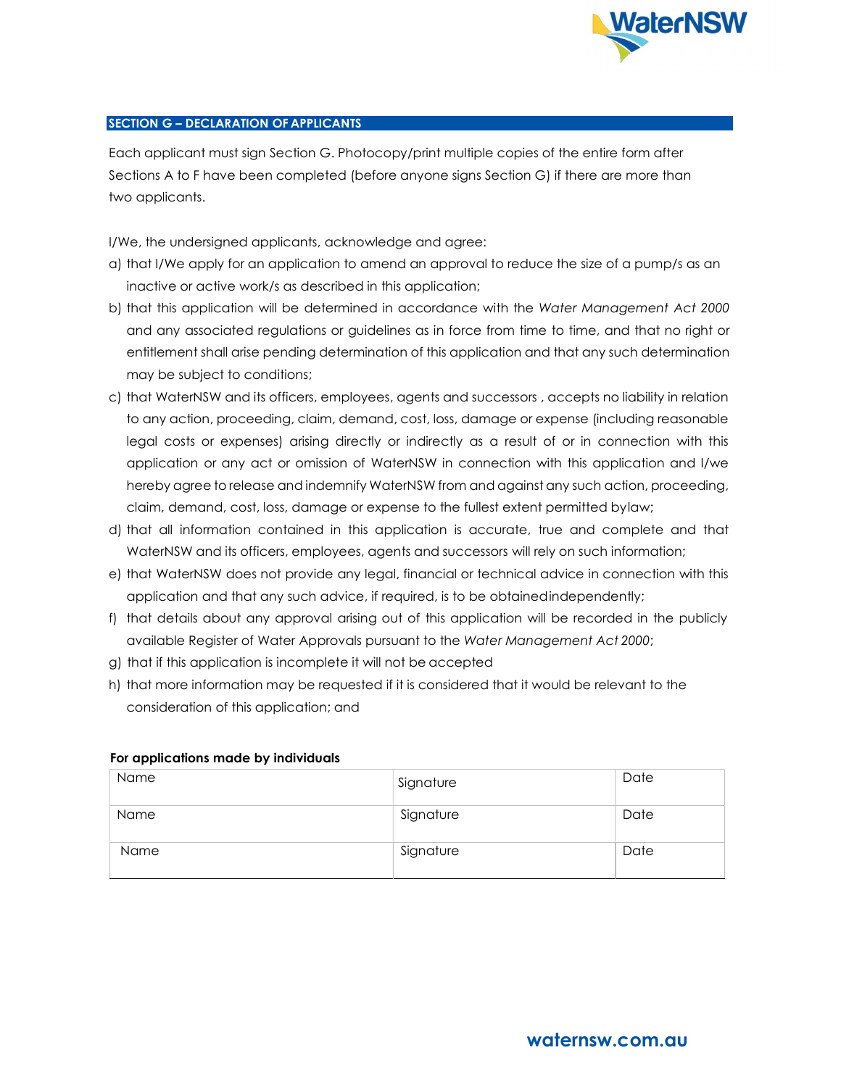

# SECTION G – DECLARATION OF APPLICANTS

Each applicant must sign Section G. Photocopy/print multiple copies of the entire form after Sections A to F have been completed (before anyone signs Section G) if there are more than two applicants.

I/We, the undersigned applicants, acknowledge and agree:

- a) that I/We apply for an application to amend an approval to reduce the size of a pump/s as an inactive or active work/s as described in this application;
- b) that this application will be determined in accordance with the Water Management Act 2000 and any associated regulations or guidelines as in force from time to time, and that no right or entitlement shall arise pending determination of this application and that any such determination may be subject to conditions;
- c) that WaterNSW and its officers, employees, agents and successors , accepts no liability in relation to any action, proceeding, claim, demand, cost, loss, damage or expense (including reasonable legal costs or expenses) arising directly or indirectly as a result of or in connection with this application or any act or omission of WaterNSW in connection with this application and I/we hereby agree to release and indemnify WaterNSW from and against any such action, proceeding, claim, demand, cost, loss, damage or expense to the fullest extent permitted by law;
- d) that all information contained in this application is accurate, true and complete and that WaterNSW and its officers, employees, agents and successors will rely on such information;
- e) that WaterNSW does not provide any legal, financial or technical advice in connection with this application and that any such advice, if required, is to be obtained independently;
- f) that details about any approval arising out of this application will be recorded in the publicly available Register of Water Approvals pursuant to the Water Management Act 2000;
- g) that if this application is incomplete it will not be accepted
- h) that more information may be requested if it is considered that it would be relevant to the consideration of this application; and

| Name | Signature | Date |
|------|-----------|------|
| Name | Signature | Date |
| Name | Signature | Date |

# For applications made by individuals